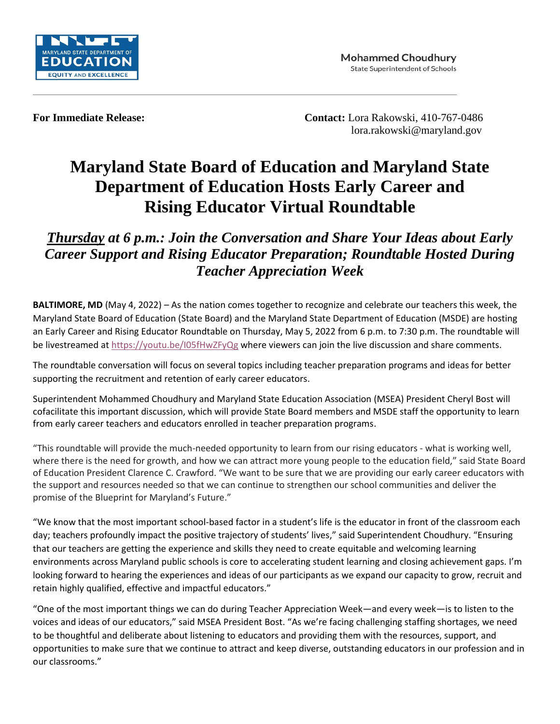

**For Immediate Release: Contact:** Lora Rakowski, 410-767-0486 lora.rakowski@maryland.gov

## **Maryland State Board of Education and Maryland State Department of Education Hosts Early Career and Rising Educator Virtual Roundtable**

*Thursday at 6 p.m.: Join the Conversation and Share Your Ideas about Early Career Support and Rising Educator Preparation; Roundtable Hosted During Teacher Appreciation Week* 

**BALTIMORE, MD** (May 4, 2022) – As the nation comes together to recognize and celebrate our teachers this week, the Maryland State Board of Education (State Board) and the Maryland State Department of Education (MSDE) are hosting an Early Career and Rising Educator Roundtable on Thursday, May 5, 2022 from 6 p.m. to 7:30 p.m. The roundtable will be livestreamed at<https://youtu.be/I05fHwZFyQg> where viewers can join the live discussion and share comments.

The roundtable conversation will focus on several topics including teacher preparation programs and ideas for better supporting the recruitment and retention of early career educators.

Superintendent Mohammed Choudhury and Maryland State Education Association (MSEA) President Cheryl Bost will cofacilitate this important discussion, which will provide State Board members and MSDE staff the opportunity to learn from early career teachers and educators enrolled in teacher preparation programs.

"This roundtable will provide the much-needed opportunity to learn from our rising educators - what is working well, where there is the need for growth, and how we can attract more young people to the education field," said State Board of Education President Clarence C. Crawford. "We want to be sure that we are providing our early career educators with the support and resources needed so that we can continue to strengthen our school communities and deliver the promise of the Blueprint for Maryland's Future."

"We know that the most important school-based factor in a student's life is the educator in front of the classroom each day; teachers profoundly impact the positive trajectory of students' lives," said Superintendent Choudhury. "Ensuring that our teachers are getting the experience and skills they need to create equitable and welcoming learning environments across Maryland public schools is core to accelerating student learning and closing achievement gaps. I'm looking forward to hearing the experiences and ideas of our participants as we expand our capacity to grow, recruit and retain highly qualified, effective and impactful educators."

"One of the most important things we can do during Teacher Appreciation Week—and every week—is to listen to the voices and ideas of our educators," said MSEA President Bost. "As we're facing challenging staffing shortages, we need to be thoughtful and deliberate about listening to educators and providing them with the resources, support, and opportunities to make sure that we continue to attract and keep diverse, outstanding educators in our profession and in our classrooms."